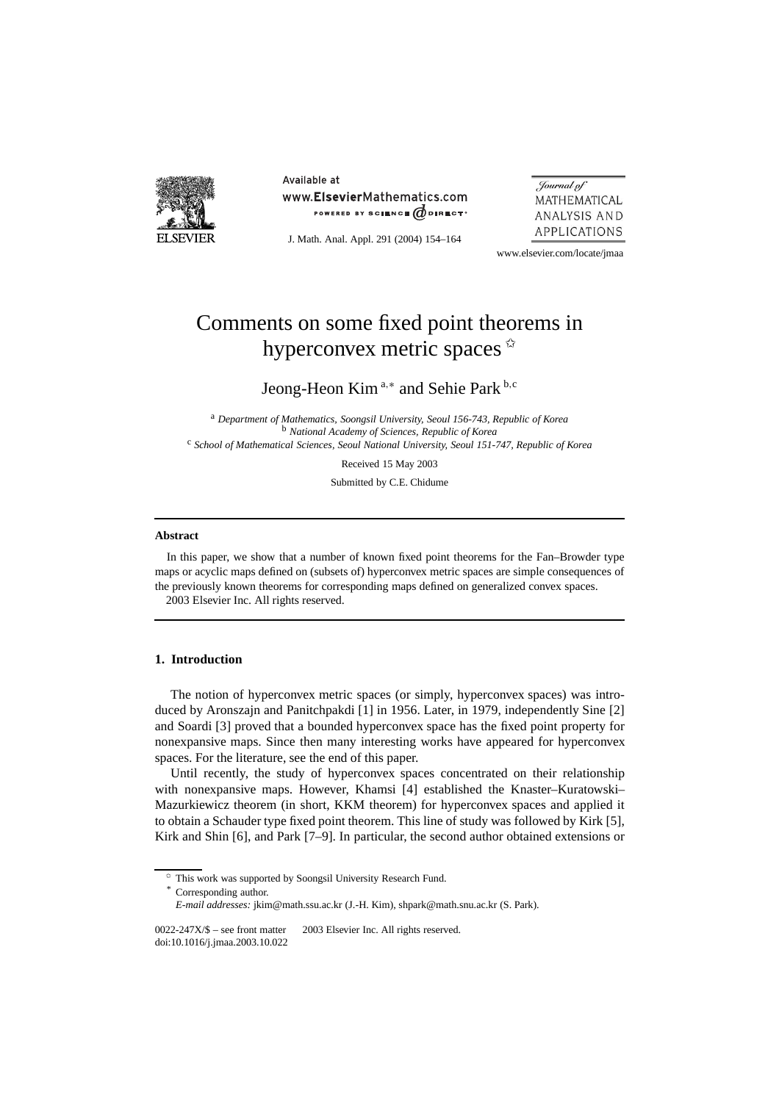

Available at www.ElsevierMathematics.com POWERED BY SCIENCE @DIRECT<sup>®</sup>

J. Math. Anal. Appl. 291 (2004) 154–164

Journal of MATHEMATICAL ANALYSIS AND APPLICATIONS

www.elsevier.com/locate/jmaa

# Comments on some fixed point theorems in hyperconvex metric spaces  $\dot{\alpha}$

Jeong-Heon Kim <sup>a</sup>*,*<sup>∗</sup> and Sehie Park <sup>b</sup>*,*<sup>c</sup>

<sup>a</sup> *Department of Mathematics, Soongsil University, Seoul 156-743, Republic of Korea* <sup>b</sup> *National Academy of Sciences, Republic of Korea* <sup>c</sup> *School of Mathematical Sciences, Seoul National University, Seoul 151-747, Republic of Korea*

Received 15 May 2003

Submitted by C.E. Chidume

#### **Abstract**

In this paper, we show that a number of known fixed point theorems for the Fan–Browder type maps or acyclic maps defined on (subsets of) hyperconvex metric spaces are simple consequences of the previously known theorems for corresponding maps defined on generalized convex spaces. 2003 Elsevier Inc. All rights reserved.

#### **1. Introduction**

The notion of hyperconvex metric spaces (or simply, hyperconvex spaces) was introduced by Aronszajn and Panitchpakdi [1] in 1956. Later, in 1979, independently Sine [2] and Soardi [3] proved that a bounded hyperconvex space has the fixed point property for nonexpansive maps. Since then many interesting works have appeared for hyperconvex spaces. For the literature, see the end of this paper.

Until recently, the study of hyperconvex spaces concentrated on their relationship with nonexpansive maps. However, Khamsi [4] established the Knaster–Kuratowski– Mazurkiewicz theorem (in short, KKM theorem) for hyperconvex spaces and applied it to obtain a Schauder type fixed point theorem. This line of study was followed by Kirk [5], Kirk and Shin [6], and Park [7–9]. In particular, the second author obtained extensions or

<sup>✩</sup> This work was supported by Soongsil University Research Fund.

Corresponding author.

*E-mail addresses:* jkim@math.ssu.ac.kr (J.-H. Kim), shpark@math.snu.ac.kr (S. Park).

 $0022-247X/\$$  – see front matter  $\heartsuit$  2003 Elsevier Inc. All rights reserved. doi:10.1016/j.jmaa.2003.10.022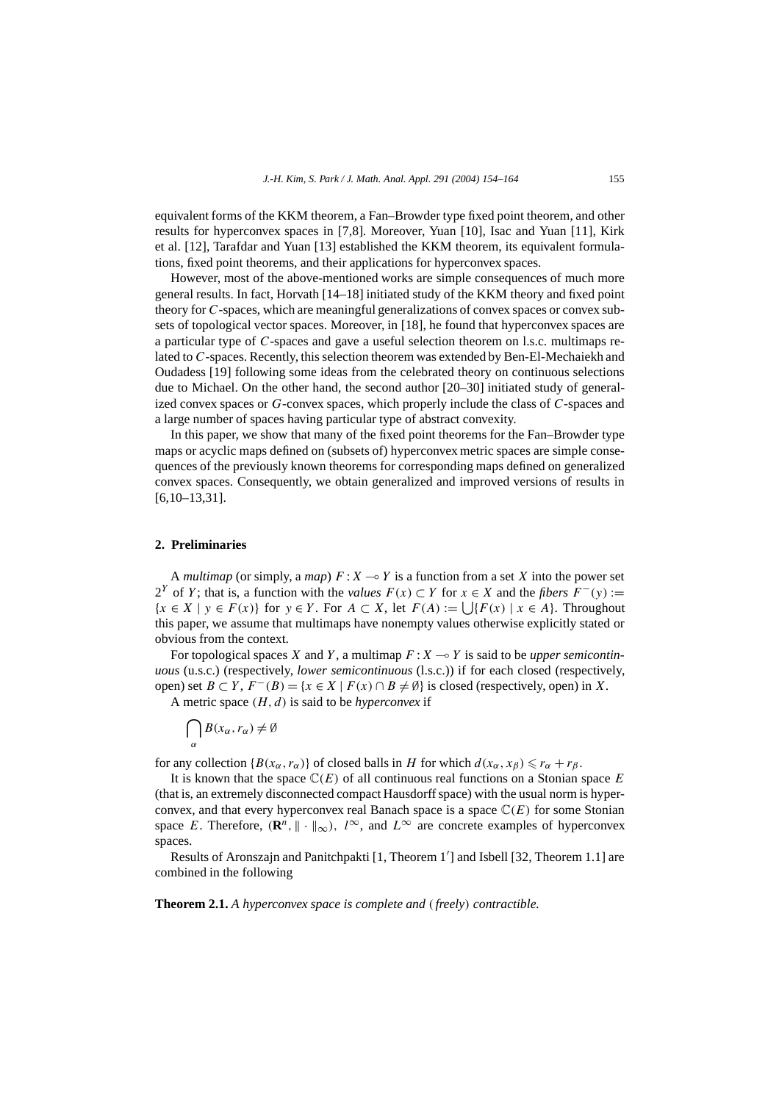equivalent forms of the KKM theorem, a Fan–Browder type fixed point theorem, and other results for hyperconvex spaces in [7,8]. Moreover, Yuan [10], Isac and Yuan [11], Kirk et al. [12], Tarafdar and Yuan [13] established the KKM theorem, its equivalent formulations, fixed point theorems, and their applications for hyperconvex spaces.

However, most of the above-mentioned works are simple consequences of much more general results. In fact, Horvath [14–18] initiated study of the KKM theory and fixed point theory for *C*-spaces, which are meaningful generalizations of convex spaces or convex subsets of topological vector spaces. Moreover, in [18], he found that hyperconvex spaces are a particular type of *C*-spaces and gave a useful selection theorem on l.s.c. multimaps related to *C*-spaces. Recently, this selection theorem was extended by Ben-El-Mechaiekh and Oudadess [19] following some ideas from the celebrated theory on continuous selections due to Michael. On the other hand, the second author [20–30] initiated study of generalized convex spaces or *G*-convex spaces, which properly include the class of *C*-spaces and a large number of spaces having particular type of abstract convexity.

In this paper, we show that many of the fixed point theorems for the Fan–Browder type maps or acyclic maps defined on (subsets of) hyperconvex metric spaces are simple consequences of the previously known theorems for corresponding maps defined on generalized convex spaces. Consequently, we obtain generalized and improved versions of results in [6,10–13,31].

#### **2. Preliminaries**

A *multimap* (or simply, a *map*)  $F: X \to Y$  is a function from a set X into the power set 2<sup>*Y*</sup> of *Y*; that is, a function with the *values*  $F(x) ⊂ Y$  for  $x ∈ X$  and the *fibers*  $F^{-}(y) :=$  ${x \in X \mid y \in F(x)}$  for *y* ∈ *Y*. For *A* ⊂ *X*, let  $F(A) := \bigcup \{F(x) \mid x \in A\}$ . Throughout this paper, we assume that multimaps have nonempty values otherwise explicitly stated or obvious from the context.

For topological spaces *X* and *Y*, a multimap  $F: X \rightarrow Y$  is said to be *upper semicontinuous* (u.s.c.) (respectively, *lower semicontinuous* (l.s.c.)) if for each closed (respectively, open) set  $B \subset Y$ ,  $F^{-}(B) = \{x \in X \mid F(x) \cap B \neq \emptyset\}$  is closed (respectively, open) in *X*.

A metric space *(H, d)* is said to be *hyperconvex* if

$$
\bigcap_{\alpha} B(x_{\alpha}, r_{\alpha}) \neq \emptyset
$$

for any collection  ${B(x_\alpha, r_\alpha)}$  of closed balls in *H* for which  $d(x_\alpha, x_\beta) \le r_\alpha + r_\beta$ .

It is known that the space  $\mathbb{C}(E)$  of all continuous real functions on a Stonian space  $E$ (that is, an extremely disconnected compact Hausdorff space) with the usual norm is hyperconvex, and that every hyperconvex real Banach space is a space  $\mathbb{C}(E)$  for some Stonian space *E*. Therefore,  $(\mathbb{R}^n, ||\cdot||_{\infty})$ ,  $l^{\infty}$ , and  $L^{\infty}$  are concrete examples of hyperconvex spaces.

Results of Aronszajn and Panitchpakti [1, Theorem 1'] and Isbell [32, Theorem 1.1] are combined in the following

**Theorem 2.1.** *A hyperconvex space is complete and (freely) contractible.*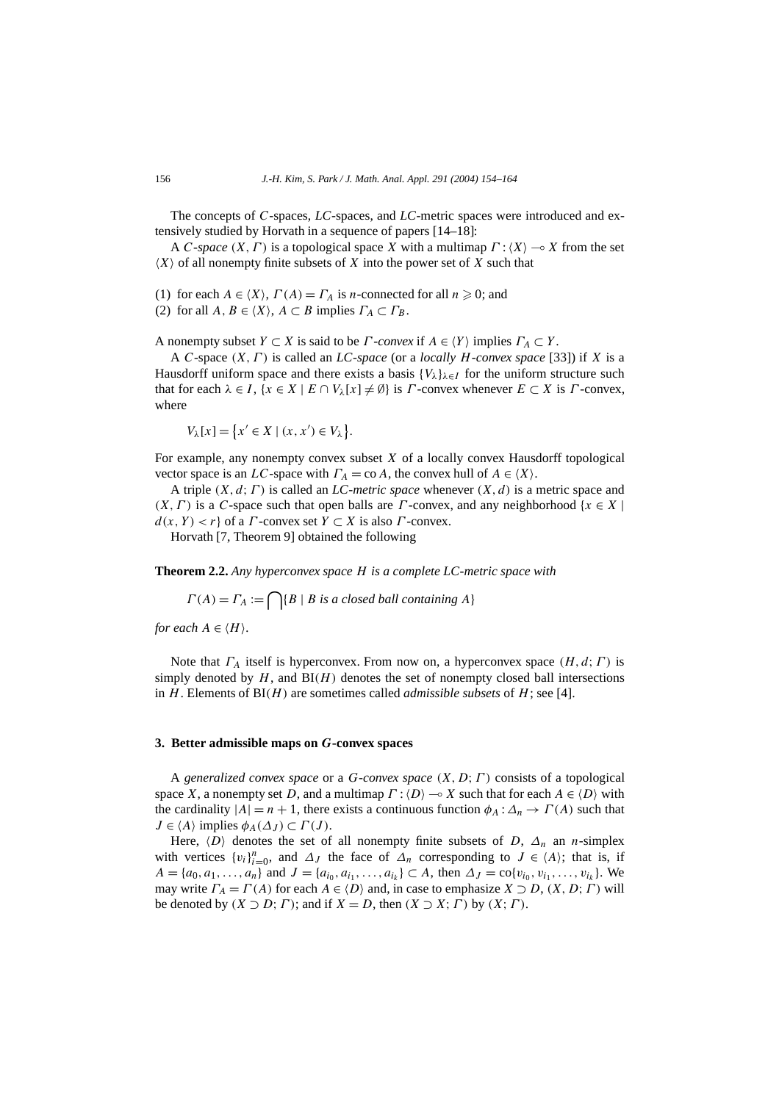The concepts of *C*-spaces, *LC*-spaces, and *LC*-metric spaces were introduced and extensively studied by Horvath in a sequence of papers [14–18]:

A *C*-*space*  $(X, \Gamma)$  is a topological space *X* with a multimap  $\Gamma$  :  $\langle X \rangle$   $\rightarrow$  *X* from the set  $(X)$  of all nonempty finite subsets of  $X$  into the power set of  $X$  such that

(1) for each  $A \in \langle X \rangle$ ,  $\Gamma(A) = \Gamma_A$  is *n*-connected for all  $n \ge 0$ ; and

(2) for all  $A, B \in \langle X \rangle$ ,  $A \subset B$  implies  $\Gamma_A \subset \Gamma_B$ .

A nonempty subset  $Y \subset X$  is said to be  $\Gamma$ -*convex* if  $A \in \langle Y \rangle$  implies  $\Gamma_A \subset Y$ .

A *C*-space *(X, Γ )* is called an *LC*-*space* (or a *locally H*-*convex space* [33]) if *X* is a Hausdorff uniform space and there exists a basis  ${V_\lambda}_{\lambda \in I}$  for the uniform structure such that for each  $\lambda \in I$ ,  $\{x \in X \mid E \cap V_{\lambda}[x] \neq \emptyset\}$  is *Γ*-convex whenever  $E \subset X$  is *Γ*-convex, where

 $V_{\lambda}[x] = \{x' \in X \mid (x, x') \in V_{\lambda}\}.$ 

For example, any nonempty convex subset *X* of a locally convex Hausdorff topological vector space is an *LC*-space with  $\Gamma_A = \text{co } A$ , the convex hull of  $A \in \langle X \rangle$ .

A triple *(X, d*;*Γ )* is called an *LC*-*metric space* whenever *(X, d)* is a metric space and  $(X, \Gamma)$  is a *C*-space such that open balls are *Γ*-convex, and any neighborhood { $x \in X$  |  $d(x, Y) < r$  of a *Γ* -convex set  $Y \subset X$  is also *Γ* -convex.

Horvath [7, Theorem 9] obtained the following

**Theorem 2.2.** *Any hyperconvex space H is a complete LC-metric space with*

 $\Gamma(A) = \Gamma_A := \bigcap \{B \mid B \text{ is a closed ball containing } A\}$ 

*for each*  $A \in \langle H \rangle$ .

Note that *ΓA* itself is hyperconvex. From now on, a hyperconvex space *(H, d*;*Γ )* is simply denoted by  $H$ , and  $BI(H)$  denotes the set of nonempty closed ball intersections in  $H$ . Elements of  $BI(H)$  are sometimes called *admissible subsets* of  $H$ ; see [4].

#### **3. Better admissible maps on** *G***-convex spaces**

A *generalized convex space* or a *G*-*convex space (X, D*;*Γ )* consists of a topological space *X*, a nonempty set *D*, and a multimap  $\Gamma$  :  $\langle D \rangle \rightarrow X$  such that for each  $A \in \langle D \rangle$  with the cardinality  $|A| = n + 1$ , there exists a continuous function  $\phi_A : \Delta_n \to \Gamma(A)$  such that  $J \in \langle A \rangle$  implies  $\phi_A(\Delta_J) \subset \Gamma(J)$ .

Here,  $\langle D \rangle$  denotes the set of all nonempty finite subsets of *D*,  $\Delta_n$  an *n*-simplex with vertices  $\{v_i\}_{i=0}^n$ , and  $\Delta_J$  the face of  $\Delta_n$  corresponding to  $J \in \langle A \rangle$ ; that is, if *A* = { $a_0, a_1, \ldots, a_n$ } and *J* = { $a_{i_0}, a_{i_1}, \ldots, a_{i_k}$ } ⊂ *A*, then  $\Delta_J = \text{co}\{v_{i_0}, v_{i_1}, \ldots, v_{i_k}\}$ . We may write  $\Gamma_A = \Gamma(A)$  for each  $A \in \langle D \rangle$  and, in case to emphasize  $X \supset D$ ,  $(X, D; \Gamma)$  will be denoted by  $(X \supset D; \Gamma)$ ; and if  $X = D$ , then  $(X \supset X; \Gamma)$  by  $(X; \Gamma)$ .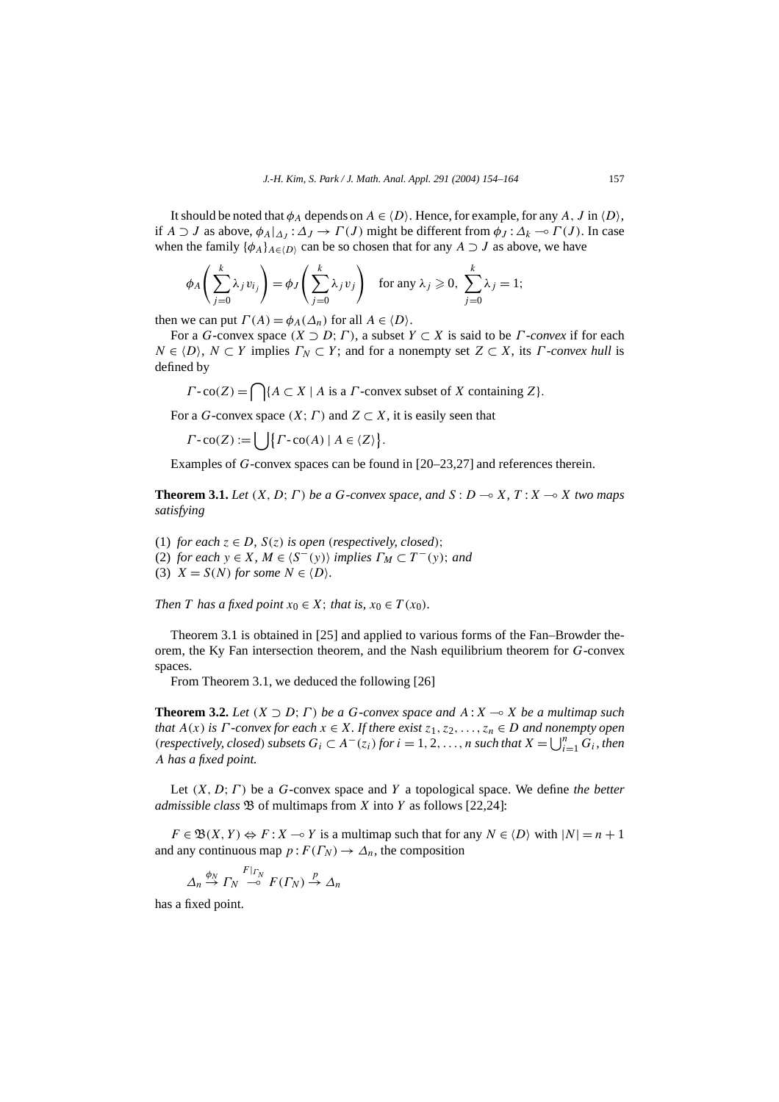It should be noted that  $\phi_A$  depends on  $A \in \langle D \rangle$ . Hence, for example, for any  $A$ ,  $J$  in  $\langle D \rangle$ , if *A*  $\supset$  *J* as above,  $\phi_A|_{\Delta I}$  :  $\Delta J \to \Gamma(J)$  might be different from  $\phi_J$  :  $\Delta_k \to \Gamma(J)$ . In case when the family  $\{\phi_A\}_{A \in \langle D \rangle}$  can be so chosen that for any  $A \supset J$  as above, we have

$$
\phi_A\left(\sum_{j=0}^k \lambda_j v_{ij}\right) = \phi_J\left(\sum_{j=0}^k \lambda_j v_j\right) \text{ for any } \lambda_j \geqslant 0, \sum_{j=0}^k \lambda_j = 1;
$$

then we can put  $\Gamma(A) = \phi_A(\Delta_n)$  for all  $A \in \langle D \rangle$ .

For a *G*-convex space  $(X \supset D; \Gamma)$ , a subset  $Y \subset X$  is said to be *Γ*-*convex* if for each  $N \in \{D\}$ ,  $N \subset Y$  implies  $\Gamma_N \subset Y$ ; and for a nonempty set  $Z \subset X$ , its *Γ*-*convex hull* is defined by

 $\Gamma$ -co(*Z*) =  $\bigcap$ { $A \subset X \mid A$  is a *Γ*-convex subset of *X* containing *Z*}.

For a *G*-convex space  $(X; \Gamma)$  and  $Z \subset X$ , it is easily seen that

 $\Gamma$ -co(Z) :=  $\left\{ \left| \int \Gamma$ -co(A) |  $A \in \langle Z \rangle \right\}$ .

Examples of *G*-convex spaces can be found in [20–23,27] and references therein.

**Theorem 3.1.** Let  $(X, D; \Gamma)$  be a G-convex space, and  $S: D \rightarrow X$ ,  $T: X \rightarrow X$  two maps *satisfying*

(1) *for each*  $z \in D$ *,*  $S(z)$  *is open (respectively, closed)*; (2) *for each*  $y \in X$ *,*  $M \in \langle S^-(y) \rangle$  *implies*  $\Gamma_M \subset T^-(y)$ *; and* (3)  $X = S(N)$  for some  $N \in \{D\}$ .

*Then T has a fixed point*  $x_0 \in X$ ; *that is,*  $x_0 \in T(x_0)$ *.* 

Theorem 3.1 is obtained in [25] and applied to various forms of the Fan–Browder theorem, the Ky Fan intersection theorem, and the Nash equilibrium theorem for *G*-convex spaces.

From Theorem 3.1, we deduced the following [26]

**Theorem 3.2.** Let  $(X \supset D; \Gamma)$  be a *G*-convex space and  $A: X \to X$  be a multimap such *that*  $A(x)$  *is*  $\Gamma$  *-convex for each*  $x \in X$ *. If there exist*  $z_1, z_2, \ldots, z_n \in D$  *and nonempty open (respectively, closed) subsets*  $G_i \subset A^{-}(z_i)$  *for*  $i = 1, 2, ..., n$  *such that*  $X = \bigcup_{i=1}^{n} G_i$ *, then A has a fixed point.*

Let *(X, D*;*Γ )* be a *G*-convex space and *Y* a topological space. We define *the better admissible class*  $\mathfrak{B}$  of multimaps from *X* into *Y* as follows [22,24]:

 $F \in \mathfrak{B}(X, Y) \Leftrightarrow F : X \to Y$  is a multimap such that for any  $N \in \langle D \rangle$  with  $|N| = n + 1$ and any continuous map  $p: F(\Gamma_N) \to \Delta_n$ , the composition

$$
\Delta_n \xrightarrow{\phi_N} \Gamma_N \xrightarrow{F|_{\Gamma_N}} F(\Gamma_N) \xrightarrow{p} \Delta_n
$$

has a fixed point.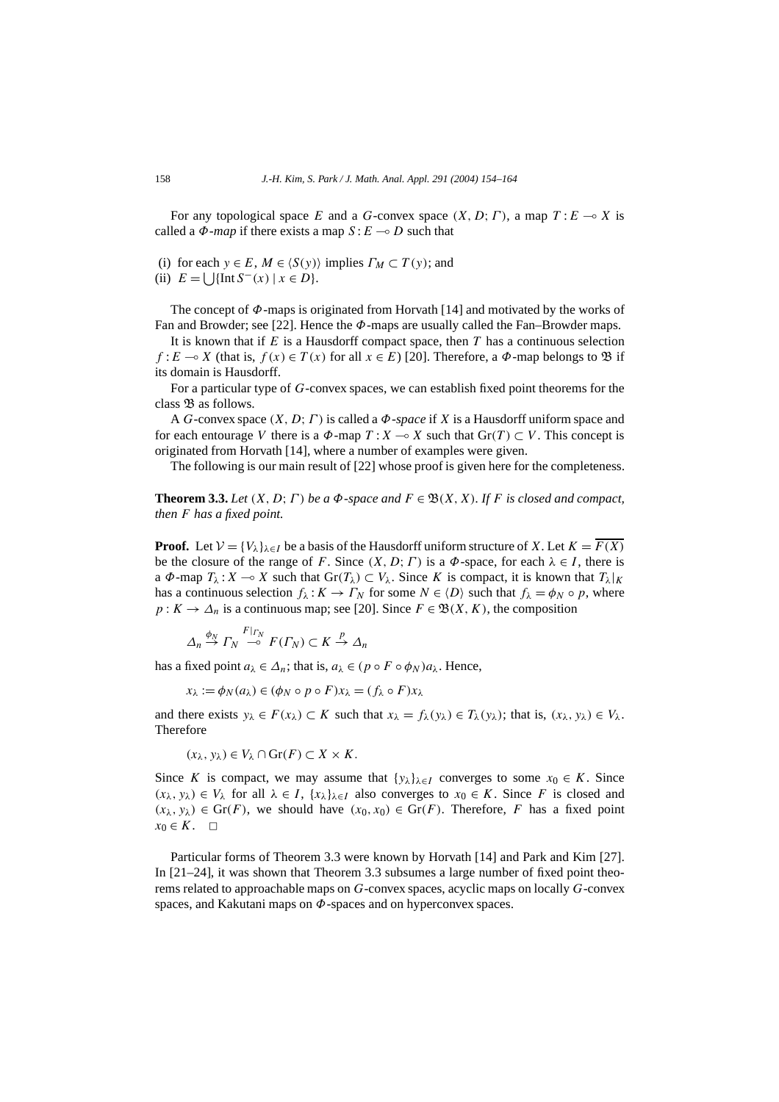For any topological space *E* and a *G*-convex space  $(X, D; \Gamma)$ , a map  $T: E \rightarrow X$  is called a  $\Phi$ *-map* if there exists a map  $S: E \rightarrow D$  such that

(i) for each  $y \in E$ ,  $M \in \langle S(y) \rangle$  implies  $\Gamma_M \subset T(y)$ ; and

(ii)  $E = \bigcup \{ \text{Int } S^{-}(x) \mid x \in D \}.$ 

The concept of *Φ*-maps is originated from Horvath [14] and motivated by the works of Fan and Browder; see [22]. Hence the *Φ*-maps are usually called the Fan–Browder maps.

It is known that if *E* is a Hausdorff compact space, then *T* has a continuous selection *f* :  $E \rightarrow X$  (that is,  $f(x) \in T(x)$  for all  $x \in E$ ) [20]. Therefore, a  $\Phi$ -map belongs to  $\mathfrak{B}$  if its domain is Hausdorff.

For a particular type of *G*-convex spaces, we can establish fixed point theorems for the class  $\mathfrak{B}$  as follows.

A *G*-convex space *(X, D*;*Γ )* is called a *Φ*-*space* if *X* is a Hausdorff uniform space and for each entourage *V* there is a  $\Phi$ -map  $T : X \to X$  such that  $\text{Gr}(T) \subset V$ . This concept is originated from Horvath [14], where a number of examples were given.

The following is our main result of [22] whose proof is given here for the completeness.

**Theorem 3.3.** *Let*  $(X, D; \Gamma)$  *be a*  $\Phi$ *-space and*  $F \in \mathfrak{B}(X, X)$ *. If F is closed and compact, then F has a fixed point.*

**Proof.** Let  $V = \{V_{\lambda}\}_{\lambda \in I}$  be a basis of the Hausdorff uniform structure of *X*. Let  $K = \overline{F(X)}$ be the closure of the range of *F*. Since  $(X, D; \Gamma)$  is a  $\Phi$ -space, for each  $\lambda \in I$ , there is a  $\Phi$ -map  $T_\lambda$ :  $X \to X$  such that  $\text{Gr}(T_\lambda) \subset V_\lambda$ . Since K is compact, it is known that  $T_\lambda|_K$ has a continuous selection  $f_{\lambda}: K \to \Gamma_N$  for some  $N \in \langle D \rangle$  such that  $f_{\lambda} = \phi_N \circ p$ , where  $p: K \to \Delta_n$  is a continuous map; see [20]. Since  $F \in \mathfrak{B}(X, K)$ , the composition

$$
\Delta_n \stackrel{\phi_N}{\to} \Gamma_N \stackrel{F|_{\Gamma_N}}{\multimap} F(\Gamma_N) \subset K \stackrel{p}{\to} \Delta_n
$$

has a fixed point  $a_{\lambda} \in \Delta_n$ ; that is,  $a_{\lambda} \in (p \circ F \circ \phi_N)a_{\lambda}$ . Hence,

$$
x_{\lambda} := \phi_N(a_{\lambda}) \in (\phi_N \circ p \circ F)x_{\lambda} = (f_{\lambda} \circ F)x_{\lambda}
$$

and there exists  $y_\lambda \in F(x_\lambda) \subset K$  such that  $x_\lambda = f_\lambda(y_\lambda) \in T_\lambda(y_\lambda)$ ; that is,  $(x_\lambda, y_\lambda) \in V_\lambda$ . Therefore

$$
(x_{\lambda}, y_{\lambda}) \in V_{\lambda} \cap \text{Gr}(F) \subset X \times K.
$$

Since *K* is compact, we may assume that  $\{y_\lambda\}_{\lambda \in I}$  converges to some  $x_0 \in K$ . Since *(xλ, yλ)* ∈ *V<sub>λ</sub>* for all  $λ ∈ I$ ,  ${xλ}$ <sub> $λ ∈ I$ </sub> also converges to  $x<sub>0</sub> ∈ K$ . Since *F* is closed and  $(x_{\lambda}, y_{\lambda}) \in \text{Gr}(F)$ , we should have  $(x_0, x_0) \in \text{Gr}(F)$ . Therefore, *F* has a fixed point  $x_0 \in K$ .  $\Box$ 

Particular forms of Theorem 3.3 were known by Horvath [14] and Park and Kim [27]. In [21–24], it was shown that Theorem 3.3 subsumes a large number of fixed point theorems related to approachable maps on *G*-convex spaces, acyclic maps on locally *G*-convex spaces, and Kakutani maps on *Φ*-spaces and on hyperconvex spaces.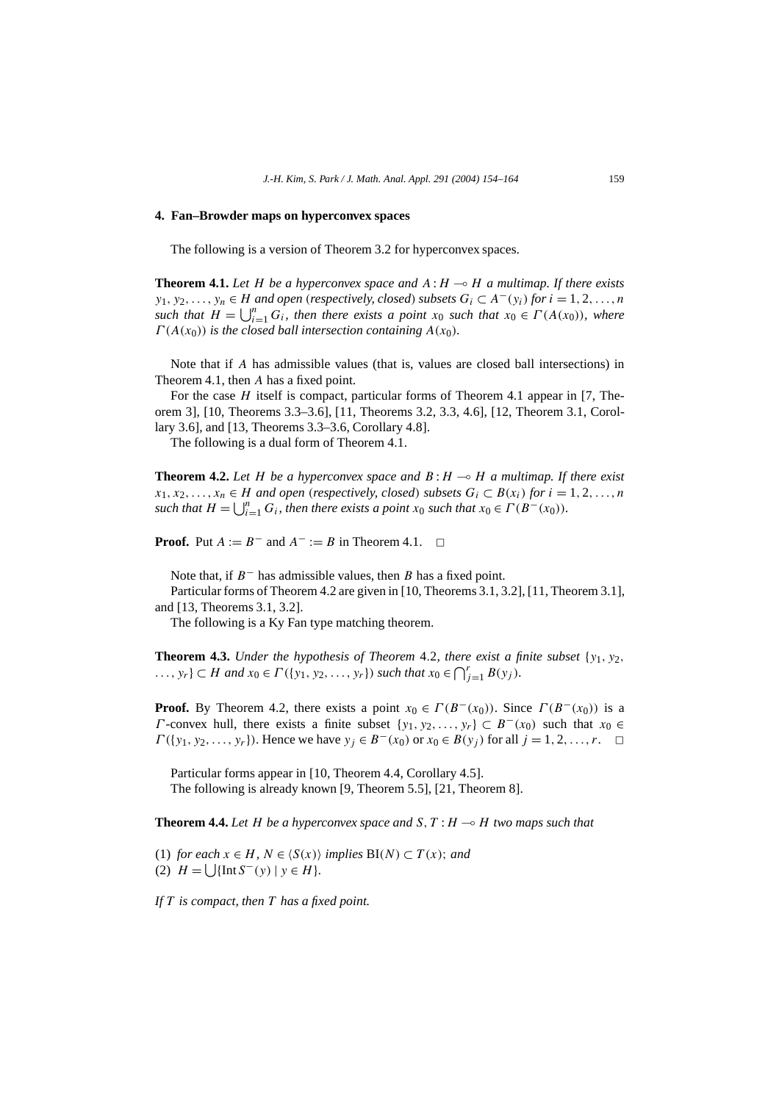#### **4. Fan–Browder maps on hyperconvex spaces**

The following is a version of Theorem 3.2 for hyperconvex spaces.

**Theorem 4.1.** Let *H* be a hyperconvex space and  $A: H \rightarrow H$  a multimap. If there exists *y*<sub>1</sub>*, y*<sub>2</sub>*,..., y<sub>n</sub>* ∈ *H and open* (*respectively, closed*) *subsets*  $G_i$  ⊂  $A<sup>−</sup>(y<sub>i</sub>)$  *for*  $i = 1, 2, ..., n$ *such that*  $H = \bigcup_{i=1}^{n} G_i$ *, then there exists a point*  $x_0$  *such that*  $x_0 \in \Gamma(A(x_0))$ *, where*  $\Gamma(A(x_0))$  *is the closed ball intersection containing*  $A(x_0)$ *.* 

Note that if *A* has admissible values (that is, values are closed ball intersections) in Theorem 4.1, then *A* has a fixed point.

For the case *H* itself is compact, particular forms of Theorem 4.1 appear in [7, Theorem 3], [10, Theorems 3.3–3.6], [11, Theorems 3.2, 3.3, 4.6], [12, Theorem 3.1, Corollary 3.6], and [13, Theorems 3.3–3.6, Corollary 4.8].

The following is a dual form of Theorem 4.1.

**Theorem 4.2.** Let *H* be a hyperconvex space and  $B: H \to H$  a multimap. If there exist *x*<sub>1</sub>*, x*<sub>2</sub>*,...,x<sub>n</sub></sub> ∈ <i>H and open* (*respectively, closed*) *subsets*  $G_i$  ⊂  $B(x_i)$  *for*  $i = 1, 2, ..., n$ *such that*  $H = \bigcup_{i=1}^{n} G_i$ *, then there exists a point*  $x_0$  *such that*  $x_0 \in \Gamma(B^-(x_0))$ *.* 

**Proof.** Put  $A := B^-$  and  $A^- := B$  in Theorem 4.1.  $\Box$ 

Note that, if *B*<sup>−</sup> has admissible values, then *B* has a fixed point.

Particular forms of Theorem 4.2 are given in [10, Theorems 3.1, 3.2], [11, Theorem 3.1], and [13, Theorems 3.1, 3.2].

The following is a Ky Fan type matching theorem.

**Theorem 4.3.** *Under the hypothesis of Theorem 4.2, there exist a finite subset*  $\{y_1, y_2,$  $\dots$ ,  $y_r$ }  $\subset$  *H* and  $x_0 \in \Gamma(\{y_1, y_2, \dots, y_r\})$  such that  $x_0 \in \bigcap_{j=1}^r B(y_j)$ *.* 

**Proof.** By Theorem 4.2, there exists a point  $x_0 \in \Gamma(B^-(x_0))$ . Since  $\Gamma(B^-(x_0))$  is a *Γ* -convex hull, there exists a finite subset  $\{y_1, y_2, \ldots, y_r\} \subset B^{-}(x_0)$  such that  $x_0 \in B^{-}(x_0)$ *Γ*({*y*<sub>1</sub>*, y*<sub>2</sub>*,...,y<sub>r</sub></sub>}). Hence we have*  $y_j \in B^{-}(x_0)$  *or*  $x_0 \in B(y_j)$  *for all*  $j = 1, 2, ..., r$ *. □* 

Particular forms appear in [10, Theorem 4.4, Corollary 4.5]. The following is already known [9, Theorem 5.5], [21, Theorem 8].

**Theorem 4.4.** Let *H* be a hyperconvex space and *S*,  $T : H \rightarrow H$  two maps such that

(1) *for each*  $x \in H$ *,*  $N \in \langle S(x) \rangle$  *implies* BI(*N*) ⊂ *T*(*x*)*; and* (2)  $H = \left[ \int \{\text{Int } S^{-}(y) \mid y \in H \} \right]$ .

*If T is compact, then T has a fixed point.*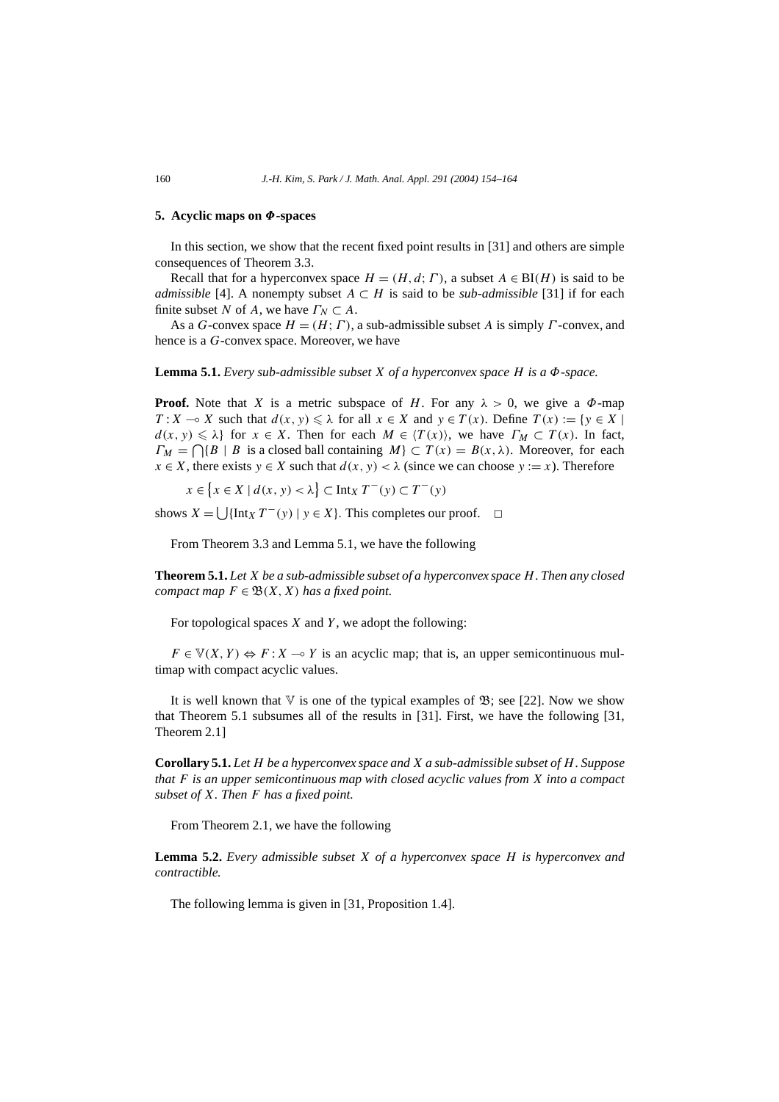### **5. Acyclic maps on** *Φ***-spaces**

In this section, we show that the recent fixed point results in [31] and others are simple consequences of Theorem 3.3.

Recall that for a hyperconvex space  $H = (H, d; \Gamma)$ , a subset  $A \in BI(H)$  is said to be *admissible* [4]. A nonempty subset  $A \subset H$  is said to be *sub-admissible* [31] if for each finite subset *N* of *A*, we have  $\Gamma_N \subset A$ .

As a *G*-convex space *H* = *(H*;*Γ )*, a sub-admissible subset *A* is simply *Γ* -convex, and hence is a *G*-convex space. Moreover, we have

**Lemma 5.1.** *Every sub-admissible subset X of a hyperconvex space H is a Φ-space.*

**Proof.** Note that *X* is a metric subspace of *H*. For any  $\lambda > 0$ , we give a  $\Phi$ -map *T* : *X*  $\rightarrow$  *X* such that  $d(x, y) \le \lambda$  for all  $x \in X$  and  $y \in T(x)$ . Define  $T(x) := \{y \in X \mid$  $d(x, y) \le \lambda$  for  $x \in X$ . Then for each  $M \in \langle T(x) \rangle$ , we have  $\Gamma_M \subset T(x)$ . In fact,  $\Gamma_M = \bigcap \{ B \mid B$  is a closed ball containing  $M \} \subset T(x) = B(x, \lambda)$ . Moreover, for each  $x \in X$ , there exists  $y \in X$  such that  $d(x, y) < \lambda$  (since we can choose  $y := x$ ). Therefore

 $x \in \{x \in X \mid d(x, y) < \lambda\}$  ⊂ Int<sub>*X*</sub> *T* − (*y*) ⊂ *T* − (*y*)

shows  $X = \left[ \int \left[ \ln(x) T^{-}(y) \right] y \in X \right]$ . This completes our proof.  $\Box$ 

From Theorem 3.3 and Lemma 5.1, we have the following

**Theorem 5.1.** *Let X be a sub-admissible subset of a hyperconvex space H. Then any closed compact map*  $F \in \mathfrak{B}(X, X)$  *has a fixed point.* 

For topological spaces *X* and *Y* , we adopt the following:

 $F \in \mathbb{V}(X, Y) \Leftrightarrow F : X \multimap Y$  is an acyclic map; that is, an upper semicontinuous multimap with compact acyclic values.

It is well known that  $\nabla$  is one of the typical examples of  $\mathfrak{B}$ ; see [22]. Now we show that Theorem 5.1 subsumes all of the results in [31]. First, we have the following [31, Theorem 2.1]

**Corollary 5.1.** *Let H be a hyperconvex space and X a sub-admissible subset of H. Suppose that F is an upper semicontinuous map with closed acyclic values from X into a compact subset of X. Then F has a fixed point.*

From Theorem 2.1, we have the following

**Lemma 5.2.** *Every admissible subset X of a hyperconvex space H is hyperconvex and contractible.*

The following lemma is given in [31, Proposition 1.4].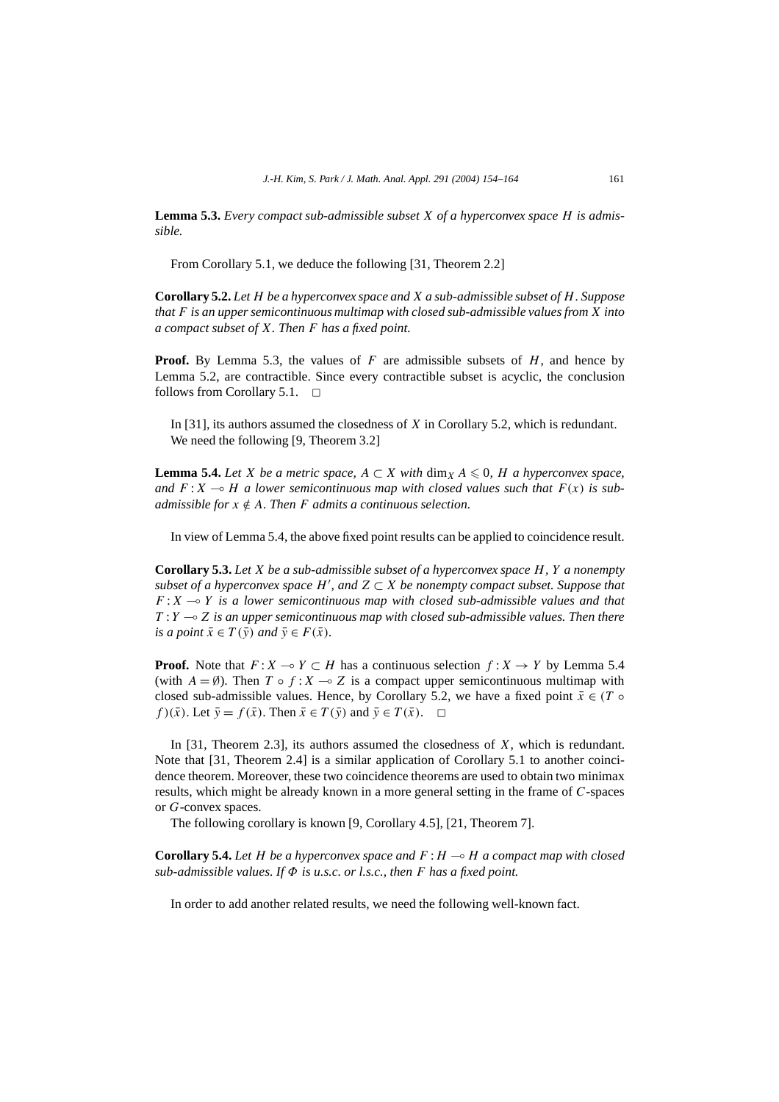**Lemma 5.3.** *Every compact sub-admissible subset X of a hyperconvex space H is admissible.*

From Corollary 5.1, we deduce the following [31, Theorem 2.2]

**Corollary 5.2.** *Let H be a hyperconvex space and X a sub-admissible subset of H. Suppose that F is an upper semicontinuous multimap with closed sub-admissible values from X into a compact subset of X. Then F has a fixed point.*

**Proof.** By Lemma 5.3, the values of *F* are admissible subsets of *H*, and hence by Lemma 5.2, are contractible. Since every contractible subset is acyclic, the conclusion follows from Corollary 5.1.  $\Box$ 

In [31], its authors assumed the closedness of *X* in Corollary 5.2, which is redundant. We need the following [9, Theorem 3.2]

**Lemma 5.4.** *Let X be a metric space,*  $A \subset X$  *with*  $\dim_X A \leq 0$ , *H a hyperconvex space,* and  $F: X \rightarrow H$  a lower semicontinuous map with closed values such that  $F(x)$  is sub*admissible for*  $x \notin A$ *. Then F admits a continuous selection.* 

In view of Lemma 5.4, the above fixed point results can be applied to coincidence result.

**Corollary 5.3.** *Let X be a sub-admissible subset of a hyperconvex space H, Y a nonempty*  $subset$  of a hyperconvex space  $H'$ , and  $Z \subset X$  be nonempty compact subset. Suppose that  $F: X \rightarrow Y$  *is a lower semicontinuous map with closed sub-admissible values and that T* : *Y Z is an upper semicontinuous map with closed sub-admissible values. Then there is a point*  $\bar{x} \in T(\bar{y})$  *and*  $\bar{y} \in F(\bar{x})$ *.* 

**Proof.** Note that  $F: X \to Y \subset H$  has a continuous selection  $f: X \to Y$  by Lemma 5.4 (with  $A = \emptyset$ ). Then  $T \circ f : X \to Z$  is a compact upper semicontinuous multimap with closed sub-admissible values. Hence, by Corollary 5.2, we have a fixed point  $\bar{x} \in (T \circ$ *f* )( $\bar{x}$ ). Let  $\bar{y} = f(\bar{x})$ . Then  $\bar{x} \in T(\bar{y})$  and  $\bar{y} \in T(\bar{x})$ .  $\Box$ 

In [31, Theorem 2.3], its authors assumed the closedness of *X*, which is redundant. Note that [31, Theorem 2.4] is a similar application of Corollary 5.1 to another coincidence theorem. Moreover, these two coincidence theorems are used to obtain two minimax results, which might be already known in a more general setting in the frame of *C*-spaces or *G*-convex spaces.

The following corollary is known [9, Corollary 4.5], [21, Theorem 7].

**Corollary 5.4.** *Let H be a hyperconvex space and F* :*H H a compact map with closed sub-admissible values. If Φ is u.s.c. or l.s.c., then F has a fixed point.*

In order to add another related results, we need the following well-known fact.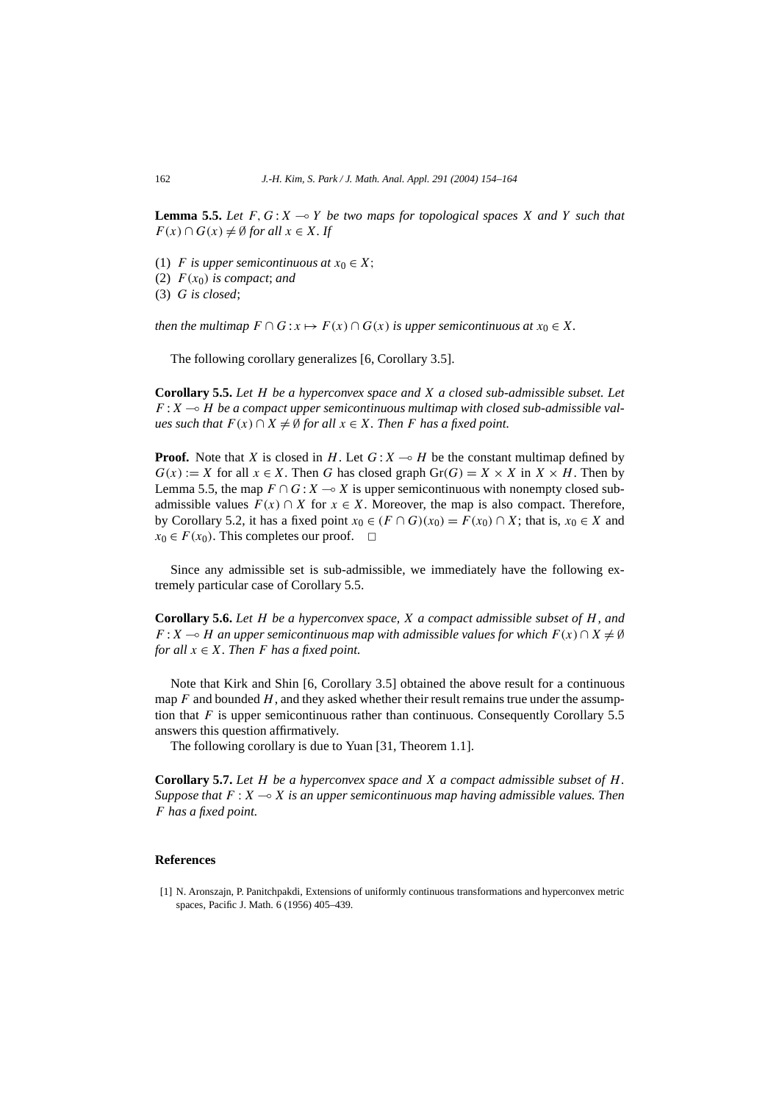**Lemma 5.5.** Let  $F, G: X \to Y$  be two maps for topological spaces X and Y such that  $F(x) \cap G(x) \neq \emptyset$  *for all*  $x \in X$ *. If* 

- (1) *F* is upper semicontinuous at  $x_0 \in X$ ;
- (2)  $F(x_0)$  *is compact*; *and*

(3) *G is closed*;

*then the multimap*  $F \cap G : x \mapsto F(x) \cap G(x)$  *is upper semicontinuous at*  $x_0 \in X$ *.* 

The following corollary generalizes [6, Corollary 3.5].

**Corollary 5.5.** *Let H be a hyperconvex space and X a closed sub-admissible subset. Let*  $F: X \rightarrow H$  *be a compact upper semicontinuous multimap with closed sub-admissible values such that*  $F(x) ∩ X ≠ ∅$  *for all*  $x ∈ X$ *. Then F has a fixed point.* 

**Proof.** Note that *X* is closed in *H*. Let  $G: X \rightarrow H$  be the constant multimap defined by  $G(x) := X$  for all  $x \in X$ . Then G has closed graph  $Gr(G) = X \times X$  in  $X \times H$ . Then by Lemma 5.5, the map  $F \cap G : X \to X$  is upper semicontinuous with nonempty closed subadmissible values  $F(x) \cap X$  for  $x \in X$ . Moreover, the map is also compact. Therefore, by Corollary 5.2, it has a fixed point  $x_0 \in (F \cap G)(x_0) = F(x_0) \cap X$ ; that is,  $x_0 \in X$  and  $x_0 \in F(x_0)$ . This completes our proof.  $\Box$ 

Since any admissible set is sub-admissible, we immediately have the following extremely particular case of Corollary 5.5.

**Corollary 5.6.** *Let H be a hyperconvex space, X a compact admissible subset of H, and F* : *X*  $\rightarrow$  *H* an upper semicontinuous map with admissible values for which  $F(x) \cap X \neq \emptyset$ *for all*  $x \in X$ *. Then F has a fixed point.* 

Note that Kirk and Shin [6, Corollary 3.5] obtained the above result for a continuous map  $F$  and bounded  $H$ , and they asked whether their result remains true under the assumption that  $F$  is upper semicontinuous rather than continuous. Consequently Corollary 5.5 answers this question affirmatively.

The following corollary is due to Yuan [31, Theorem 1.1].

**Corollary 5.7.** *Let H be a hyperconvex space and X a compact admissible subset of H. Suppose that*  $F : X \rightarrow X$  *is an upper semicontinuous map having admissible values. Then F has a fixed point.*

## **References**

[1] N. Aronszajn, P. Panitchpakdi, Extensions of uniformly continuous transformations and hyperconvex metric spaces, Pacific J. Math. 6 (1956) 405–439.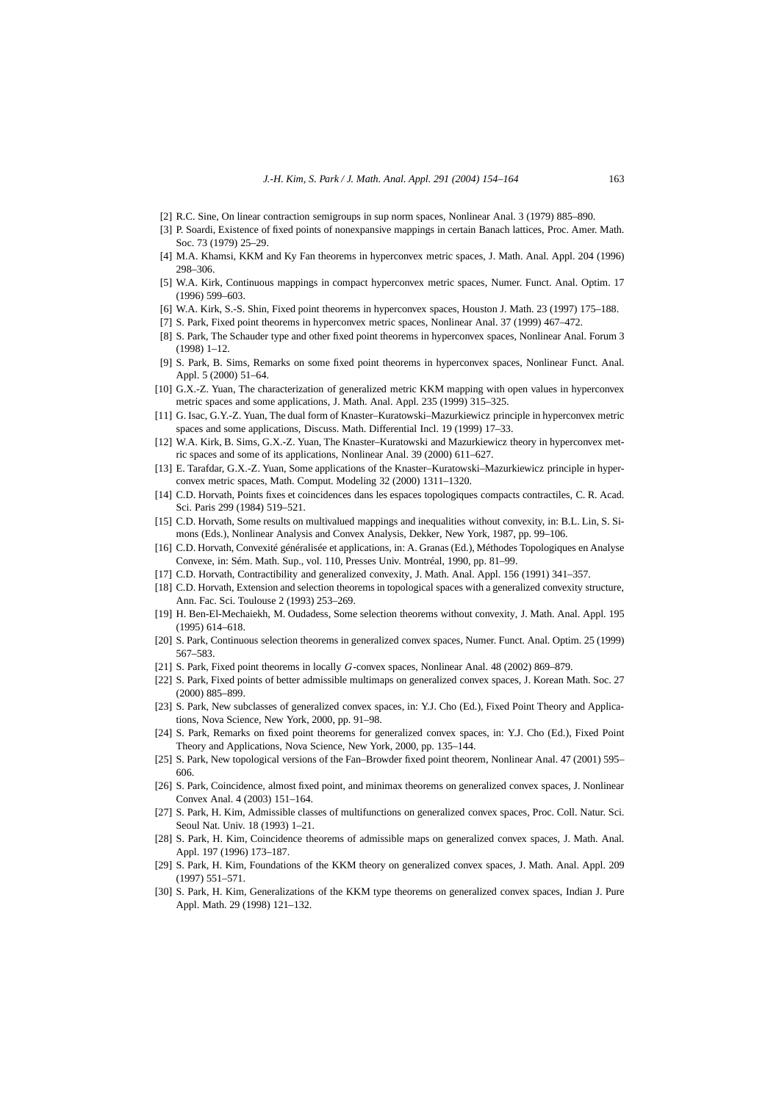- [2] R.C. Sine, On linear contraction semigroups in sup norm spaces, Nonlinear Anal. 3 (1979) 885–890.
- [3] P. Soardi, Existence of fixed points of nonexpansive mappings in certain Banach lattices, Proc. Amer. Math. Soc. 73 (1979) 25–29.
- [4] M.A. Khamsi, KKM and Ky Fan theorems in hyperconvex metric spaces, J. Math. Anal. Appl. 204 (1996) 298–306.
- [5] W.A. Kirk, Continuous mappings in compact hyperconvex metric spaces, Numer. Funct. Anal. Optim. 17 (1996) 599–603.
- [6] W.A. Kirk, S.-S. Shin, Fixed point theorems in hyperconvex spaces, Houston J. Math. 23 (1997) 175–188.
- [7] S. Park, Fixed point theorems in hyperconvex metric spaces, Nonlinear Anal. 37 (1999) 467–472.
- [8] S. Park, The Schauder type and other fixed point theorems in hyperconvex spaces, Nonlinear Anal. Forum 3 (1998) 1–12.
- [9] S. Park, B. Sims, Remarks on some fixed point theorems in hyperconvex spaces, Nonlinear Funct. Anal. Appl. 5 (2000) 51–64.
- [10] G.X.-Z. Yuan, The characterization of generalized metric KKM mapping with open values in hyperconvex metric spaces and some applications, J. Math. Anal. Appl. 235 (1999) 315–325.
- [11] G. Isac, G.Y.-Z. Yuan, The dual form of Knaster–Kuratowski–Mazurkiewicz principle in hyperconvex metric spaces and some applications, Discuss. Math. Differential Incl. 19 (1999) 17–33.
- [12] W.A. Kirk, B. Sims, G.X.-Z. Yuan, The Knaster–Kuratowski and Mazurkiewicz theory in hyperconvex metric spaces and some of its applications, Nonlinear Anal. 39 (2000) 611–627.
- [13] E. Tarafdar, G.X.-Z. Yuan, Some applications of the Knaster–Kuratowski–Mazurkiewicz principle in hyperconvex metric spaces, Math. Comput. Modeling 32 (2000) 1311–1320.
- [14] C.D. Horvath, Points fixes et coincidences dans les espaces topologiques compacts contractiles, C. R. Acad. Sci. Paris 299 (1984) 519–521.
- [15] C.D. Horvath, Some results on multivalued mappings and inequalities without convexity, in: B.L. Lin, S. Simons (Eds.), Nonlinear Analysis and Convex Analysis, Dekker, New York, 1987, pp. 99–106.
- [16] C.D. Horvath, Convexité généralisée et applications, in: A. Granas (Ed.), Méthodes Topologiques en Analyse Convexe, in: Sém. Math. Sup., vol. 110, Presses Univ. Montréal, 1990, pp. 81–99.
- [17] C.D. Horvath, Contractibility and generalized convexity, J. Math. Anal. Appl. 156 (1991) 341–357.
- [18] C.D. Horvath, Extension and selection theorems in topological spaces with a generalized convexity structure, Ann. Fac. Sci. Toulouse 2 (1993) 253–269.
- [19] H. Ben-El-Mechaiekh, M. Oudadess, Some selection theorems without convexity, J. Math. Anal. Appl. 195 (1995) 614–618.
- [20] S. Park, Continuous selection theorems in generalized convex spaces, Numer. Funct. Anal. Optim. 25 (1999) 567–583.
- [21] S. Park, Fixed point theorems in locally *G*-convex spaces, Nonlinear Anal. 48 (2002) 869–879.
- [22] S. Park, Fixed points of better admissible multimaps on generalized convex spaces, J. Korean Math. Soc. 27 (2000) 885–899.
- [23] S. Park, New subclasses of generalized convex spaces, in: Y.J. Cho (Ed.), Fixed Point Theory and Applications, Nova Science, New York, 2000, pp. 91–98.
- [24] S. Park, Remarks on fixed point theorems for generalized convex spaces, in: Y.J. Cho (Ed.), Fixed Point Theory and Applications, Nova Science, New York, 2000, pp. 135–144.
- [25] S. Park, New topological versions of the Fan–Browder fixed point theorem, Nonlinear Anal. 47 (2001) 595– 606.
- [26] S. Park, Coincidence, almost fixed point, and minimax theorems on generalized convex spaces, J. Nonlinear Convex Anal. 4 (2003) 151–164.
- [27] S. Park, H. Kim, Admissible classes of multifunctions on generalized convex spaces, Proc. Coll. Natur. Sci. Seoul Nat. Univ. 18 (1993) 1–21.
- [28] S. Park, H. Kim, Coincidence theorems of admissible maps on generalized convex spaces, J. Math. Anal. Appl. 197 (1996) 173–187.
- [29] S. Park, H. Kim, Foundations of the KKM theory on generalized convex spaces, J. Math. Anal. Appl. 209 (1997) 551–571.
- [30] S. Park, H. Kim, Generalizations of the KKM type theorems on generalized convex spaces, Indian J. Pure Appl. Math. 29 (1998) 121–132.